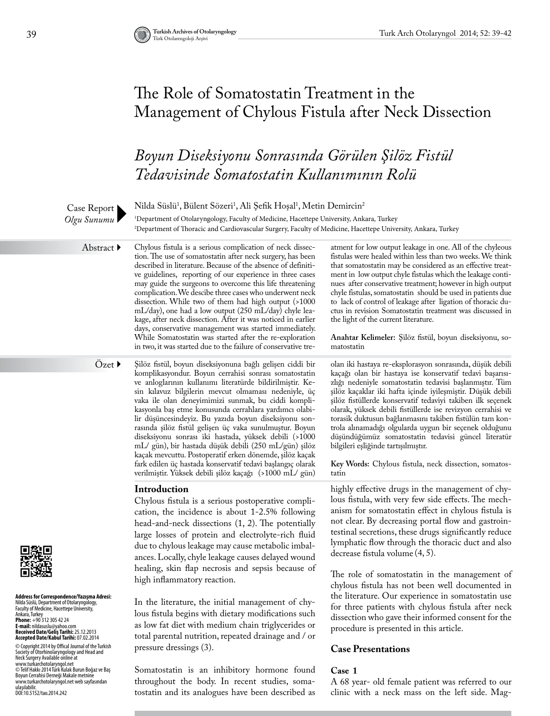clinic with a neck mass on the left side. Mag-

## The Role of Somatostatin Treatment in the Management of Chylous Fistula after Neck Dissection

### *Boyun Diseksiyonu Sonrasında Görülen Şilöz Fistül Tedavisinde Somatostatin Kullanımının Rolü*

Nilda Süslü<sup>1</sup>, Bülent Sözeri<sup>1</sup>, Ali Şefik Hoşal<sup>1</sup>, Metin Demircin<sup>2</sup> 1 Department of Otolaryngology, Faculty of Medicine, Hacettepe University, Ankara, Turkey 2 Department of Thoracic and Cardiovascular Surgery, Faculty of Medicine, Hacettepe University, Ankara, Turkey Case Report *Olgu Sunumu* Chylous fistula is a serious complication of neck dissection. The use of somatostatin after neck surgery, has been described in literature. Because of the absence of definitive guidelines, reporting of our experience in three cases may guide the surgeons to overcome this life threatening complication. We descibe three cases who underwent neck dissection. While two of them had high output (>1000 mL/day), one had a low output (250 mL/day) chyle leakage, after neck dissection. After it was noticed in earlier days, conservative management was started immediately. While Somatostatin was started after the re-exploration in two, it was started due to the failure of conservative treatment for low output leakage in one. All of the chyleous fistulas were healed within less than two weeks. We think that somatostatin may be considered as an effective treatment in low output chyle fistulas which the leakage continues after conservative treatment; however in high output chyle fistulas, somatostatin should be used in patients due to lack of control of leakage after ligation of thoracic ductus in revision Somatostatin treatment was discussed in the light of the current literature. **Anahtar Kelimeler:** Şilöz fistül, boyun diseksiyonu, somatostatin Abstract ▶ **Address for Correspondence/Yazışma Adresi:**<br>Nilda Süslü, Department of Otolaryngology,<br>Faculty of Medicine, Hacettepe University, Ankara, Turkey **Phone:** +90 312 305 42 24 **E-mail:** nildasuslu@yahoo.com **Received Date/Geliş Tarihi:** 25.12.2013 **Accepted Date/Kabul Tarihi:** 07.02.2014 © Copyright 2014 by Offical Journal of the Turkish<br>Society of Otorhinolaryngology and Head and<br>Neck Surgery Available online at<br>www.turkarchotolaryngol.net © Telif Hakkı 2014 Türk Kulak Burun Boğaz ve Baş Boyun Cerrahisi Derneği Makale metnine www.turkarchotolaryngol.net web sayfasından Özet > Şilöz fistül, boyun diseksiyonuna bağlı gelişen ciddi bir komplikasyondur. Boyun cerrahisi sonrası somatostatin ve anloglarının kullanımı literatürde bildirilmiştir. Kesin kılavuz bilgilerin mevcut olmaması nedeniyle, üç vaka ile olan deneyimimizi sunmak, bu ciddi komplikasyonla baş etme konusunda cerrahlara yardımcı olabilir düşüncesindeyiz. Bu yazıda boyun diseksiyonu sonrasında şilöz fistül gelişen üç vaka sunulmuştur. Boyun diseksiyonu sonrası iki hastada, yüksek debili (>1000 mL/ gün), bir hastada düşük debili (250 mL/gün) şilöz kaçak mevcuttu. Postoperatif erken dönemde, şilöz kaçak fark edilen üç hastada konservatif tedavi başlangıç olarak verilmiştir. Yüksek debili şilöz kaçağı (>1000 mL/ gün) olan iki hastaya re-eksplorasyon sonrasında, düşük debili kaçağı olan bir hastaya ise konservatif tedavi başarısızlığı nedeniyle somatostatin tedavisi başlanmıştır. Tüm şilöz kaçaklar iki hafta içinde iyileşmiştir. Düşük debili şilöz fistüllerde konservatif tedaviyi takiben ilk seçenek olarak, yüksek debili fistüllerde ise revizyon cerrahisi ve torasik duktusun bağlanmasını takiben fistülün tam kontrola alınamadığı olgularda uygun bir seçenek olduğunu düşündüğümüz somatostatin tedavisi güncel literatür bilgileri eşliğinde tartışılmıştır. **Key Words:** Chylous fistula, neck dissection, somatostatin **Introduction** Chylous fistula is a serious postoperative complication, the incidence is about 1-2.5% following head-and-neck dissections (1, 2). The potentially large losses of protein and electrolyte-rich fluid due to chylous leakage may cause metabolic imbalances. Locally, chyle leakage causes delayed wound healing, skin flap necrosis and sepsis because of high inflammatory reaction. In the literature, the initial management of chylous fistula begins with dietary modifications such as low fat diet with medium chain triglycerides or total parental nutrition, repeated drainage and / or pressure dressings (3). Somatostatin is an inhibitory hormone found throughout the body. In recent studies, somahighly effective drugs in the management of chylous fistula, with very few side effects. The mechanism for somatostatin effect in chylous fistula is not clear. By decreasing portal flow and gastrointestinal secretions, these drugs significantly reduce lymphatic flow through the thoracic duct and also decrease fistula volume (4, 5). The role of somatostatin in the management of chylous fistula has not been well documented in the literature. Our experience in somatostatin use for three patients with chylous fistula after neck dissection who gave their informed consent for the procedure is presented in this article. **Case Presentations Case 1** A 68 year- old female patient was referred to our

tostatin and its analogues have been described as

ulaşılabilir. DOI:10.5152/tao.2014.242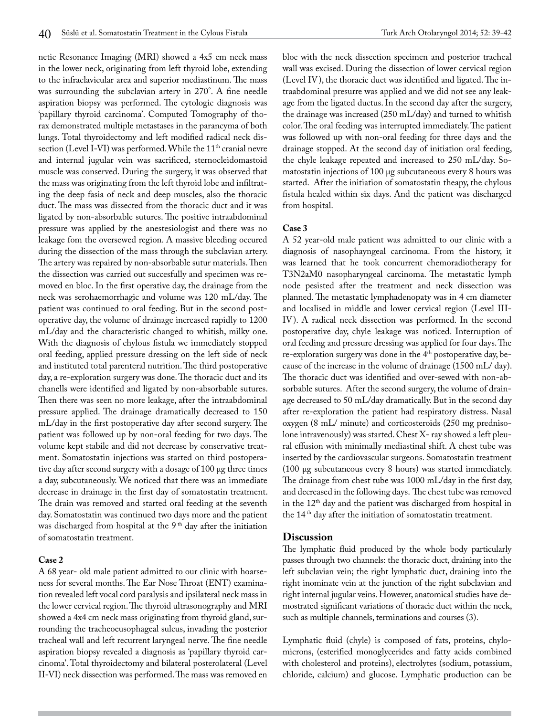netic Resonance Imaging (MRI) showed a 4x5 cm neck mass in the lower neck, originating from left thyroid lobe, extending to the infraclavicular area and superior mediastinum. The mass was surrounding the subclavian artery in 270°. A fine needle aspiration biopsy was performed. The cytologic diagnosis was 'papillary thyroid carcinoma'. Computed Tomography of thorax demonstrated multiple metastases in the parancyma of both lungs. Total thyroidectomy and left modified radical neck dissection (Level I-VI) was performed. While the 11<sup>th</sup> cranial nevre and internal jugular vein was sacrificed, sternocleidomastoid muscle was conserved. During the surgery, it was observed that the mass was originating from the left thyroid lobe and infiltrating the deep fasia of neck and deep muscles, also the thoracic duct. The mass was dissected from the thoracic duct and it was ligated by non-absorbable sutures. The positive intraabdominal pressure was applied by the anestesiologist and there was no leakage fom the oversewed region. A massive bleeding occured during the dissection of the mass through the subclavian artery. The artery was repaired by non-absorbable sutur materials. Then the dissection was carried out succesfully and specimen was removed en bloc. In the first operative day, the drainage from the neck was serohaemorrhagic and volume was 120 mL/day. The patient was continued to oral feeding. But in the second postoperative day, the volume of drainage increased rapidly to 1200 mL/day and the characteristic changed to whitish, milky one. With the diagnosis of chylous fistula we immediately stopped oral feeding, applied pressure dressing on the left side of neck and instituted total parenteral nutrition. The third postoperative day, a re-exploration surgery was done. The thoracic duct and its chanells were identified and ligated by non-absorbable sutures. Then there was seen no more leakage, after the intraabdominal pressure applied. The drainage dramatically decreased to 150 mL/day in the first postoperative day after second surgery. The patient was followed up by non-oral feeding for two days. The volume kept stabile and did not decrease by conservative treatment. Somatostatin injections was started on third postoperative day after second surgery with a dosage of 100 μg three times a day, subcutaneously. We noticed that there was an immediate decrease in drainage in the first day of somatostatin treatment. The drain was removed and started oral feeding at the seventh day. Somatostatin was continued two days more and the patient was discharged from hospital at the  $9<sup>th</sup>$  day after the initiation of somatostatin treatment.

#### **Case 2**

A 68 year- old male patient admitted to our clinic with hoarseness for several months. The Ear Nose Throat (ENT) examination revealed left vocal cord paralysis and ipsilateral neck mass in the lower cervical region. The thyroid ultrasonography and MRI showed a 4x4 cm neck mass originating from thyroid gland, surrounding the tracheoeusophageal sulcus, invading the posterior tracheal wall and left recurrent laryngeal nerve. The fine needle aspiration biopsy revealed a diagnosis as 'papillary thyroid carcinoma'. Total thyroidectomy and bilateral posterolateral (Level II-VI) neck dissection was performed. The mass was removed en bloc with the neck dissection specimen and posterior tracheal wall was excised. During the dissection of lower cervical region (Level IV), the thoracic duct was identified and ligated. The intraabdominal presurre was applied and we did not see any leakage from the ligated ductus. In the second day after the surgery, the drainage was increased (250 mL/day) and turned to whitish color. The oral feeding was interrupted immediately. The patient was followed up with non-oral feeding for three days and the drainage stopped. At the second day of initiation oral feeding, the chyle leakage repeated and increased to 250 mL/day. Somatostatin injections of 100 μg subcutaneous every 8 hours was started. After the initiation of somatostatin theapy, the chylous fistula healed within six days. And the patient was discharged from hospital.

#### **Case 3**

A 52 year-old male patient was admitted to our clinic with a diagnosis of nasophayngeal carcinoma. From the history, it was learned that he took concurrent chemoradiotherapy for T3N2aM0 nasopharyngeal carcinoma. The metastatic lymph node pesisted after the treatment and neck dissection was planned. The metastatic lymphadenopaty was in 4 cm diameter and localised in middle and lower cervical region (Level III-IV). A radical neck dissection was performed. In the second postoperative day, chyle leakage was noticed. Interruption of oral feeding and pressure dressing was applied for four days. The re-exploration surgery was done in the 4th postoperative day, because of the increase in the volume of drainage (1500 mL/ day). The thoracic duct was identified and over-sewed with non-absorbable sutures. After the second surgery, the volume of drainage decreased to 50 mL/day dramatically. But in the second day after re-exploration the patient had respiratory distress. Nasal oxygen (8 mL/ minute) and corticosteroids (250 mg prednisolone intravenously) was started. Chest X- ray showed a left pleural effusion with minimally mediastinal shift. A chest tube was inserted by the cardiovascular surgeons. Somatostatin treatment (100 μg subcutaneous every 8 hours) was started immediately. The drainage from chest tube was 1000 mL/day in the first day, and decreased in the following days. The chest tube was removed in the 12<sup>th</sup> day and the patient was discharged from hospital in the 14<sup>th</sup> day after the initiation of somatostatin treatment.

#### **Discussion**

The lymphatic fluid produced by the whole body particularly passes through two channels: the thoracic duct, draining into the left subclavian vein; the right lymphatic duct, draining into the right inominate vein at the junction of the right subclavian and right internal jugular veins. However, anatomical studies have demostrated significant variations of thoracic duct within the neck, such as multiple channels, terminations and courses (3).

Lymphatic fluid (chyle) is composed of fats, proteins, chylomicrons, (esterified monoglycerides and fatty acids combined with cholesterol and proteins), electrolytes (sodium, potassium, chloride, calcium) and glucose. Lymphatic production can be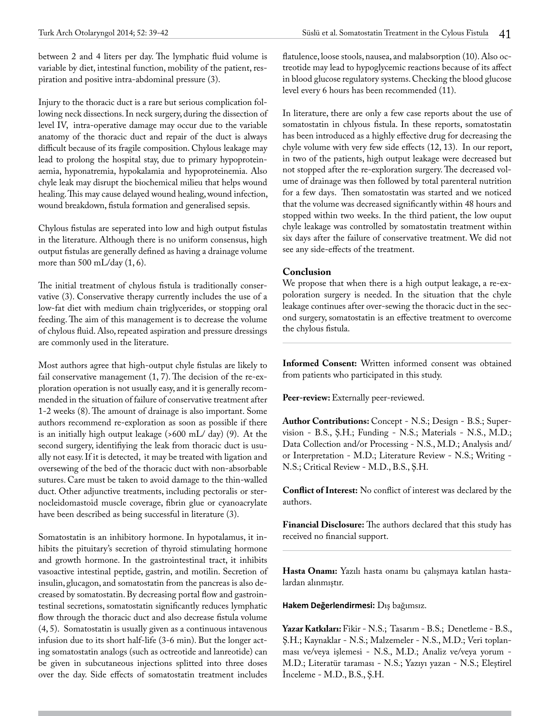between 2 and 4 liters per day. The lymphatic fluid volume is variable by diet, intestinal function, mobility of the patient, respiration and positive intra-abdominal pressure (3).

Injury to the thoracic duct is a rare but serious complication following neck dissections. In neck surgery, during the dissection of level IV, intra-operative damage may occur due to the variable anatomy of the thoracic duct and repair of the duct is always difficult because of its fragile composition. Chylous leakage may lead to prolong the hospital stay, due to primary hypoproteinaemia, hyponatremia, hypokalamia and hypoproteinemia. Also chyle leak may disrupt the biochemical milieu that helps wound healing. This may cause delayed wound healing, wound infection, wound breakdown, fistula formation and generalised sepsis.

Chylous fistulas are seperated into low and high output fistulas in the literature. Although there is no uniform consensus, high output fistulas are generally defined as having a drainage volume more than 500 mL/day (1, 6).

The initial treatment of chylous fistula is traditionally conservative (3). Conservative therapy currently includes the use of a low-fat diet with medium chain triglycerides, or stopping oral feeding. The aim of this management is to decrease the volume of chylous fluid. Also, repeated aspiration and pressure dressings are commonly used in the literature.

Most authors agree that high-output chyle fistulas are likely to fail conservative management (1, 7). The decision of the re-exploration operation is not usually easy, and it is generally recommended in the situation of failure of conservative treatment after 1-2 weeks (8). The amount of drainage is also important. Some authors recommend re-exploration as soon as possible if there is an initially high output leakage (>600 mL/ day) (9). At the second surgery, identifiying the leak from thoracic duct is usually not easy. If it is detected, it may be treated with ligation and oversewing of the bed of the thoracic duct with non-absorbable sutures. Care must be taken to avoid damage to the thin-walled duct. Other adjunctive treatments, including pectoralis or sternocleidomastoid muscle coverage, fibrin glue or cyanoacrylate have been described as being successful in literature (3).

Somatostatin is an inhibitory hormone. In hypotalamus, it inhibits the pituitary's secretion of thyroid stimulating hormone and growth hormone. In the gastrointestinal tract, it inhibits vasoactive intestinal peptide, gastrin, and motilin. Secretion of insulin, glucagon, and somatostatin from the pancreas is also decreased by somatostatin. By decreasing portal flow and gastrointestinal secretions, somatostatin significantly reduces lymphatic flow through the thoracic duct and also decrease fistula volume (4, 5). Somatostatin is usually given as a continuous intavenous infusion due to its short half-life (3-6 min). But the longer acting somatostatin analogs (such as octreotide and lanreotide) can be given in subcutaneous injections splitted into three doses over the day. Side effects of somatostatin treatment includes

flatulence, loose stools, nausea, and malabsorption (10). Also octreotide may lead to hypoglycemic reactions because of its affect in blood glucose regulatory systems. Checking the blood glucose level every 6 hours has been recommended (11).

In literature, there are only a few case reports about the use of somatostatin in chlyous fistula. In these reports, somatostatin has been introduced as a highly effective drug for decreasing the chyle volume with very few side effects (12, 13). In our report, in two of the patients, high output leakage were decreased but not stopped after the re-exploration surgery. The decreased volume of drainage was then followed by total parenteral nutrition for a few days. Then somatostatin was started and we noticed that the volume was decreased significantly within 48 hours and stopped within two weeks. In the third patient, the low ouput chyle leakage was controlled by somatostatin treatment within six days after the failure of conservative treatment. We did not see any side-effects of the treatment.

### **Conclusion**

We propose that when there is a high output leakage, a re-expoloration surgery is needed. In the situation that the chyle leakage continues after over-sewing the thoracic duct in the second surgery, somatostatin is an effective treatment to overcome the chylous fistula.

**Informed Consent:** Written informed consent was obtained from patients who participated in this study.

Peer-review: Externally peer-reviewed.

**Author Contributions:** Concept - N.S.; Design - B.S.; Supervision - B.S., Ş.H.; Funding - N.S.; Materials - N.S., M.D.; Data Collection and/or Processing - N.S., M.D.; Analysis and/ or Interpretation - M.D.; Literature Review - N.S.; Writing - N.S.; Critical Review - M.D., B.S., Ş.H.

**Conflict of Interest:** No conflict of interest was declared by the authors.

**Financial Disclosure:** The authors declared that this study has received no financial support.

**Hasta Onamı:** Yazılı hasta onamı bu çalışmaya katılan hastalardan alınmıştır.

**Hakem Değerlendirmesi:** Dış bağımsız.

**Yazar Katkıları:** Fikir - N.S.; Tasarım - B.S.; Denetleme - B.S., Ş.H.; Kaynaklar - N.S.; Malzemeler - N.S., M.D.; Veri toplanması ve/veya işlemesi - N.S., M.D.; Analiz ve/veya yorum - M.D.; Literatür taraması - N.S.; Yazıyı yazan - N.S.; Eleştirel İnceleme - M.D., B.S., Ş.H.